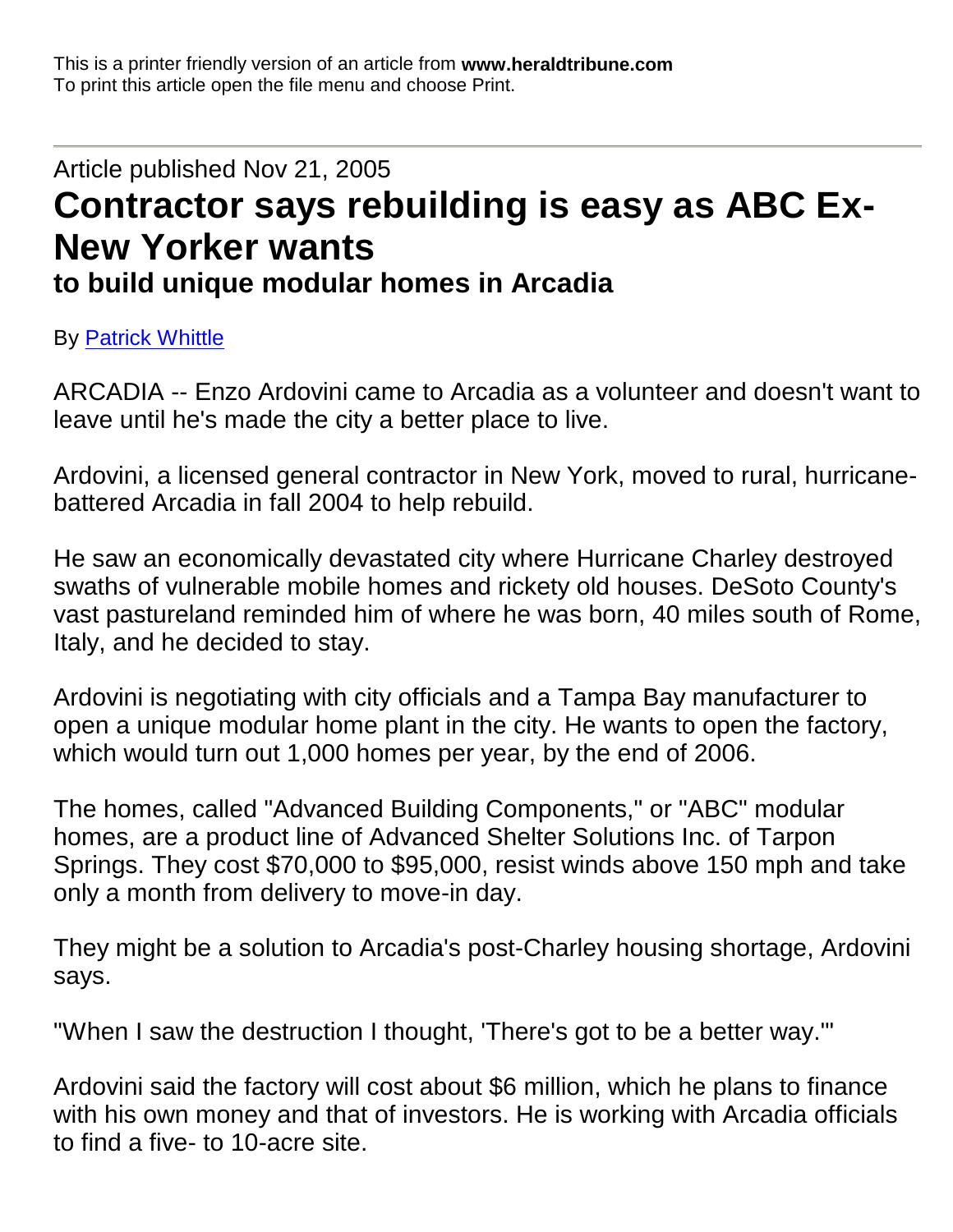This is a printer friendly version of an article from **www.heraldtribune.com** To print this article open the file menu and choose Print.

## Article published Nov 21, 2005 **Contractor says rebuilding is easy as ABC Ex-New Yorker wants to build unique modular homes in Arcadia**

By Patrick Whittle

ARCADIA -- Enzo Ardovini came to Arcadia as a volunteer and doesn't want to leave until he's made the city a better place to live.

Ardovini, a licensed general contractor in New York, moved to rural, hurricanebattered Arcadia in fall 2004 to help rebuild.

He saw an economically devastated city where Hurricane Charley destroyed swaths of vulnerable mobile homes and rickety old houses. DeSoto County's vast pastureland reminded him of where he was born, 40 miles south of Rome, Italy, and he decided to stay.

Ardovini is negotiating with city officials and a Tampa Bay manufacturer to open a unique modular home plant in the city. He wants to open the factory, which would turn out 1,000 homes per year, by the end of 2006.

The homes, called "Advanced Building Components," or "ABC" modular homes, are a product line of Advanced Shelter Solutions Inc. of Tarpon Springs. They cost \$70,000 to \$95,000, resist winds above 150 mph and take only a month from delivery to move-in day.

They might be a solution to Arcadia's post-Charley housing shortage, Ardovini says.

"When I saw the destruction I thought, 'There's got to be a better way.'"

Ardovini said the factory will cost about \$6 million, which he plans to finance with his own money and that of investors. He is working with Arcadia officials to find a five- to 10-acre site.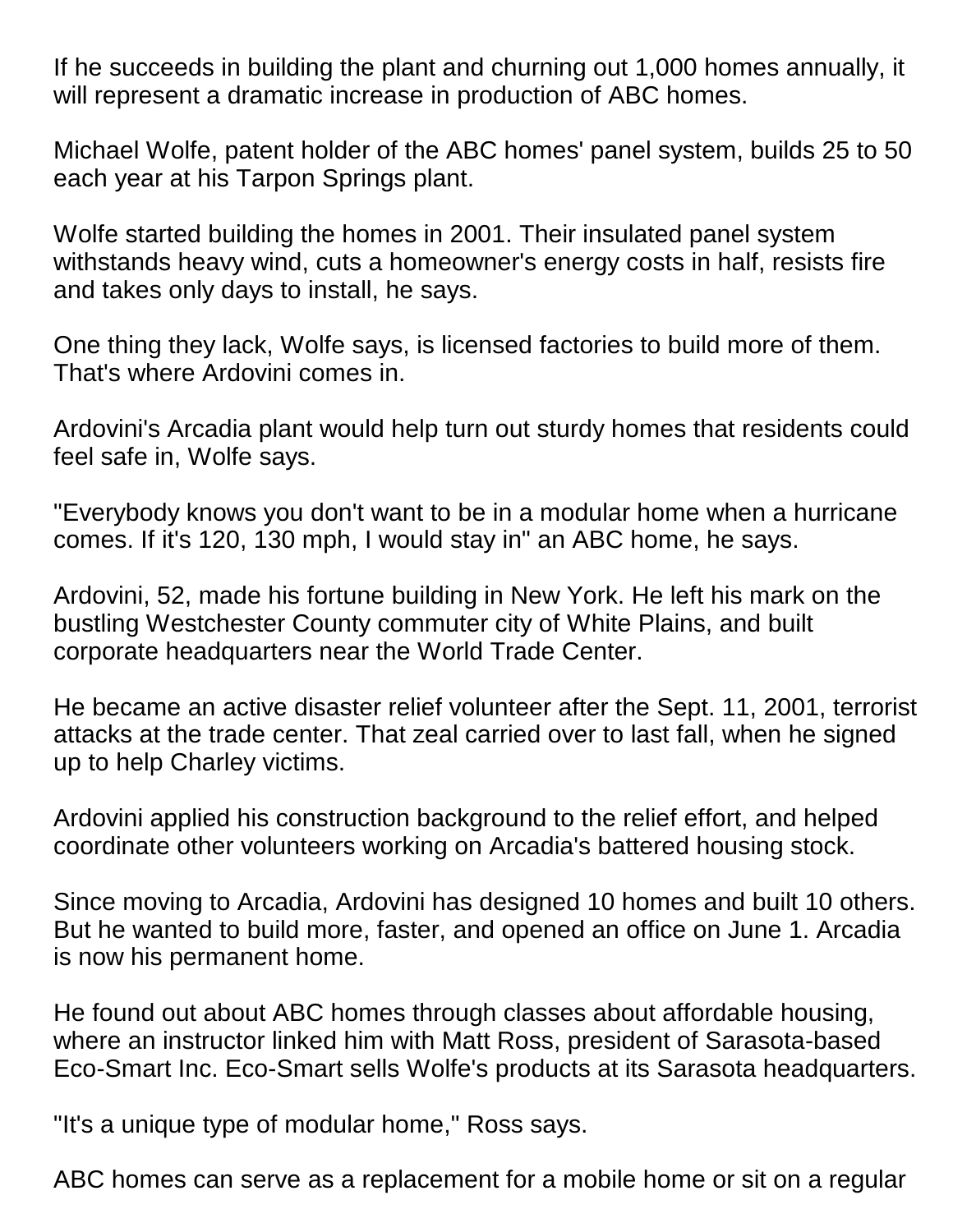If he succeeds in building the plant and churning out 1,000 homes annually, it will represent a dramatic increase in production of ABC homes.

Michael Wolfe, patent holder of the ABC homes' panel system, builds 25 to 50 each year at his Tarpon Springs plant.

Wolfe started building the homes in 2001. Their insulated panel system withstands heavy wind, cuts a homeowner's energy costs in half, resists fire and takes only days to install, he says.

One thing they lack, Wolfe says, is licensed factories to build more of them. That's where Ardovini comes in.

Ardovini's Arcadia plant would help turn out sturdy homes that residents could feel safe in, Wolfe says.

"Everybody knows you don't want to be in a modular home when a hurricane comes. If it's 120, 130 mph, I would stay in" an ABC home, he says.

Ardovini, 52, made his fortune building in New York. He left his mark on the bustling Westchester County commuter city of White Plains, and built corporate headquarters near the World Trade Center.

He became an active disaster relief volunteer after the Sept. 11, 2001, terrorist attacks at the trade center. That zeal carried over to last fall, when he signed up to help Charley victims.

Ardovini applied his construction background to the relief effort, and helped coordinate other volunteers working on Arcadia's battered housing stock.

Since moving to Arcadia, Ardovini has designed 10 homes and built 10 others. But he wanted to build more, faster, and opened an office on June 1. Arcadia is now his permanent home.

He found out about ABC homes through classes about affordable housing, where an instructor linked him with Matt Ross, president of Sarasota-based Eco-Smart Inc. Eco-Smart sells Wolfe's products at its Sarasota headquarters.

"It's a unique type of modular home," Ross says.

ABC homes can serve as a replacement for a mobile home or sit on a regular